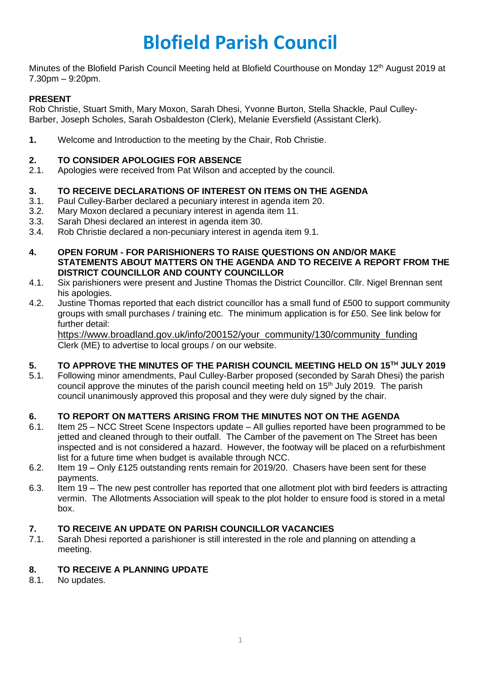# **Blofield Parish Council**

Minutes of the Blofield Parish Council Meeting held at Blofield Courthouse on Monday 12<sup>th</sup> August 2019 at 7.30pm – 9:20pm.

# **PRESENT**

Rob Christie, Stuart Smith, Mary Moxon, Sarah Dhesi, Yvonne Burton, Stella Shackle, Paul Culley-Barber, Joseph Scholes, Sarah Osbaldeston (Clerk), Melanie Eversfield (Assistant Clerk).

**1.** Welcome and Introduction to the meeting by the Chair, Rob Christie.

# **2. TO CONSIDER APOLOGIES FOR ABSENCE**

2.1. Apologies were received from Pat Wilson and accepted by the council.

# **3. TO RECEIVE DECLARATIONS OF INTEREST ON ITEMS ON THE AGENDA**

- 3.1. Paul Culley-Barber declared a pecuniary interest in agenda item 20.
- 3.2. Mary Moxon declared a pecuniary interest in agenda item 11.
- 3.3. Sarah Dhesi declared an interest in agenda item 30.
- 3.4. Rob Christie declared a non-pecuniary interest in agenda item 9.1.
- **4. OPEN FORUM - FOR PARISHIONERS TO RAISE QUESTIONS ON AND/OR MAKE STATEMENTS ABOUT MATTERS ON THE AGENDA AND TO RECEIVE A REPORT FROM THE DISTRICT COUNCILLOR AND COUNTY COUNCILLOR**
- 4.1. Six parishioners were present and Justine Thomas the District Councillor. Cllr. Nigel Brennan sent his apologies.
- 4.2. Justine Thomas reported that each district councillor has a small fund of £500 to support community groups with small purchases / training etc. The minimum application is for £50. See link below for further detail:

[https://www.broadland.gov.uk/info/200152/your\\_community/130/community\\_funding](https://www.broadland.gov.uk/info/200152/your_community/130/community_funding) Clerk (ME) to advertise to local groups / on our website.

# **5. TO APPROVE THE MINUTES OF THE PARISH COUNCIL MEETING HELD ON 15TH JULY 2019**

5.1. Following minor amendments, Paul Culley-Barber proposed (seconded by Sarah Dhesi) the parish council approve the minutes of the parish council meeting held on 15<sup>th</sup> July 2019. The parish council unanimously approved this proposal and they were duly signed by the chair.

# **6. TO REPORT ON MATTERS ARISING FROM THE MINUTES NOT ON THE AGENDA**

- 6.1. Item 25 NCC Street Scene Inspectors update All gullies reported have been programmed to be jetted and cleaned through to their outfall. The Camber of the pavement on The Street has been inspected and is not considered a hazard. However, the footway will be placed on a refurbishment list for a future time when budget is available through NCC.
- 6.2. Item 19 Only £125 outstanding rents remain for 2019/20. Chasers have been sent for these payments.
- 6.3. Item 19 The new pest controller has reported that one allotment plot with bird feeders is attracting vermin. The Allotments Association will speak to the plot holder to ensure food is stored in a metal box.

# **7. TO RECEIVE AN UPDATE ON PARISH COUNCILLOR VACANCIES**

7.1. Sarah Dhesi reported a parishioner is still interested in the role and planning on attending a meeting.

# **8. TO RECEIVE A PLANNING UPDATE**

8.1. No updates.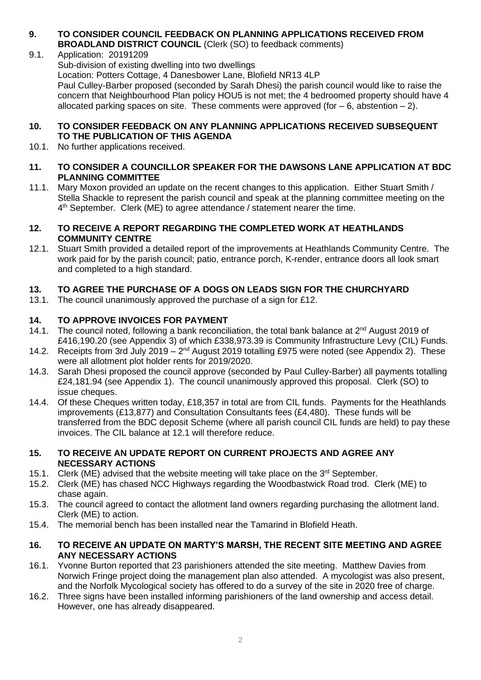#### **9. TO CONSIDER COUNCIL FEEDBACK ON PLANNING APPLICATIONS RECEIVED FROM BROADLAND DISTRICT COUNCIL** (Clerk (SO) to feedback comments)

- 9.1. Application: 20191209
	- Sub-division of existing dwelling into two dwellings

Location: Potters Cottage, 4 Danesbower Lane, Blofield NR13 4LP

Paul Culley-Barber proposed (seconded by Sarah Dhesi) the parish council would like to raise the concern that Neighbourhood Plan policy HOU5 is not met; the 4 bedroomed property should have 4 allocated parking spaces on site. These comments were approved (for  $-6$ , abstention  $-2$ ).

#### **10. TO CONSIDER FEEDBACK ON ANY PLANNING APPLICATIONS RECEIVED SUBSEQUENT TO THE PUBLICATION OF THIS AGENDA**

10.1. No further applications received.

#### **11. TO CONSIDER A COUNCILLOR SPEAKER FOR THE DAWSONS LANE APPLICATION AT BDC PLANNING COMMITTEE**

11.1. Mary Moxon provided an update on the recent changes to this application. Either Stuart Smith / Stella Shackle to represent the parish council and speak at the planning committee meeting on the 4<sup>th</sup> September. Clerk (ME) to agree attendance / statement nearer the time.

#### **12. TO RECEIVE A REPORT REGARDING THE COMPLETED WORK AT HEATHLANDS COMMUNITY CENTRE**

12.1. Stuart Smith provided a detailed report of the improvements at Heathlands Community Centre. The work paid for by the parish council; patio, entrance porch, K-render, entrance doors all look smart and completed to a high standard.

# **13. TO AGREE THE PURCHASE OF A DOGS ON LEADS SIGN FOR THE CHURCHYARD**

13.1. The council unanimously approved the purchase of a sign for £12.

# **14. TO APPROVE INVOICES FOR PAYMENT**

- 14.1. The council noted, following a bank reconciliation, the total bank balance at 2<sup>nd</sup> August 2019 of £416,190.20 (see Appendix 3) of which £338,973.39 is Community Infrastructure Levy (CIL) Funds.
- 14.2. Receipts from 3rd July 2019  $2^{nd}$  August 2019 totalling £975 were noted (see Appendix 2). These were all allotment plot holder rents for 2019/2020.
- 14.3. Sarah Dhesi proposed the council approve (seconded by Paul Culley-Barber) all payments totalling £24,181.94 (see Appendix 1). The council unanimously approved this proposal. Clerk (SO) to issue cheques.
- 14.4. Of these Cheques written today, £18,357 in total are from CIL funds. Payments for the Heathlands improvements (£13,877) and Consultation Consultants fees ( $£4,480$ ). These funds will be transferred from the BDC deposit Scheme (where all parish council CIL funds are held) to pay these invoices. The CIL balance at 12.1 will therefore reduce.

#### **15. TO RECEIVE AN UPDATE REPORT ON CURRENT PROJECTS AND AGREE ANY NECESSARY ACTIONS**

- 15.1. Clerk (ME) advised that the website meeting will take place on the  $3<sup>rd</sup>$  September.
- 15.2. Clerk (ME) has chased NCC Highways regarding the Woodbastwick Road trod. Clerk (ME) to chase again.
- 15.3. The council agreed to contact the allotment land owners regarding purchasing the allotment land. Clerk (ME) to action.
- 15.4. The memorial bench has been installed near the Tamarind in Blofield Heath.
- **16. TO RECEIVE AN UPDATE ON MARTY'S MARSH, THE RECENT SITE MEETING AND AGREE ANY NECESSARY ACTIONS**
- 16.1. Yvonne Burton reported that 23 parishioners attended the site meeting. Matthew Davies from Norwich Fringe project doing the management plan also attended. A mycologist was also present, and the Norfolk Mycological society has offered to do a survey of the site in 2020 free of charge.
- 16.2. Three signs have been installed informing parishioners of the land ownership and access detail. However, one has already disappeared.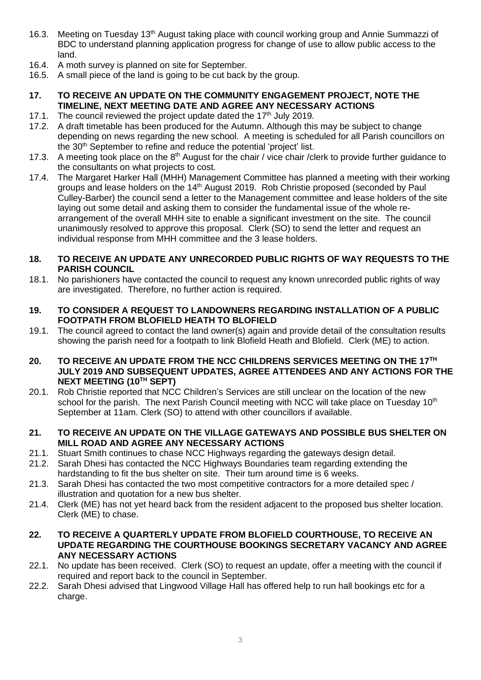- 16.3. Meeting on Tuesday 13<sup>th</sup> August taking place with council working group and Annie Summazzi of BDC to understand planning application progress for change of use to allow public access to the land.
- 16.4. A moth survey is planned on site for September.
- 16.5. A small piece of the land is going to be cut back by the group.
- **17. TO RECEIVE AN UPDATE ON THE COMMUNITY ENGAGEMENT PROJECT, NOTE THE TIMELINE, NEXT MEETING DATE AND AGREE ANY NECESSARY ACTIONS**
- 17.1. The council reviewed the project update dated the  $17<sup>th</sup>$  July 2019.
- 17.2. A draft timetable has been produced for the Autumn. Although this may be subject to change depending on news regarding the new school. A meeting is scheduled for all Parish councillors on the 30<sup>th</sup> September to refine and reduce the potential 'project' list.
- 17.3. A meeting took place on the 8<sup>th</sup> August for the chair / vice chair / clerk to provide further guidance to the consultants on what projects to cost.
- 17.4. The Margaret Harker Hall (MHH) Management Committee has planned a meeting with their working groups and lease holders on the 14<sup>th</sup> August 2019. Rob Christie proposed (seconded by Paul Culley-Barber) the council send a letter to the Management committee and lease holders of the site laying out some detail and asking them to consider the fundamental issue of the whole rearrangement of the overall MHH site to enable a significant investment on the site. The council unanimously resolved to approve this proposal. Clerk (SO) to send the letter and request an individual response from MHH committee and the 3 lease holders.

#### **18. TO RECEIVE AN UPDATE ANY UNRECORDED PUBLIC RIGHTS OF WAY REQUESTS TO THE PARISH COUNCIL**

- 18.1. No parishioners have contacted the council to request any known unrecorded public rights of way are investigated. Therefore, no further action is required.
- **19. TO CONSIDER A REQUEST TO LANDOWNERS REGARDING INSTALLATION OF A PUBLIC FOOTPATH FROM BLOFIELD HEATH TO BLOFIELD**
- 19.1. The council agreed to contact the land owner(s) again and provide detail of the consultation results showing the parish need for a footpath to link Blofield Heath and Blofield. Clerk (ME) to action.
- **20. TO RECEIVE AN UPDATE FROM THE NCC CHILDRENS SERVICES MEETING ON THE 17TH JULY 2019 AND SUBSEQUENT UPDATES, AGREE ATTENDEES AND ANY ACTIONS FOR THE NEXT MEETING (10TH SEPT)**
- 20.1. Rob Christie reported that NCC Children's Services are still unclear on the location of the new school for the parish. The next Parish Council meeting with NCC will take place on Tuesday 10<sup>th</sup> September at 11am. Clerk (SO) to attend with other councillors if available.

#### **21. TO RECEIVE AN UPDATE ON THE VILLAGE GATEWAYS AND POSSIBLE BUS SHELTER ON MILL ROAD AND AGREE ANY NECESSARY ACTIONS**

- 21.1. Stuart Smith continues to chase NCC Highways regarding the gateways design detail.
- 21.2. Sarah Dhesi has contacted the NCC Highways Boundaries team regarding extending the hardstanding to fit the bus shelter on site. Their turn around time is 6 weeks.
- 21.3. Sarah Dhesi has contacted the two most competitive contractors for a more detailed spec / illustration and quotation for a new bus shelter.
- 21.4. Clerk (ME) has not yet heard back from the resident adjacent to the proposed bus shelter location. Clerk (ME) to chase.
- **22. TO RECEIVE A QUARTERLY UPDATE FROM BLOFIELD COURTHOUSE, TO RECEIVE AN UPDATE REGARDING THE COURTHOUSE BOOKINGS SECRETARY VACANCY AND AGREE ANY NECESSARY ACTIONS**
- 22.1. No update has been received. Clerk (SO) to request an update, offer a meeting with the council if required and report back to the council in September.
- 22.2. Sarah Dhesi advised that Lingwood Village Hall has offered help to run hall bookings etc for a charge.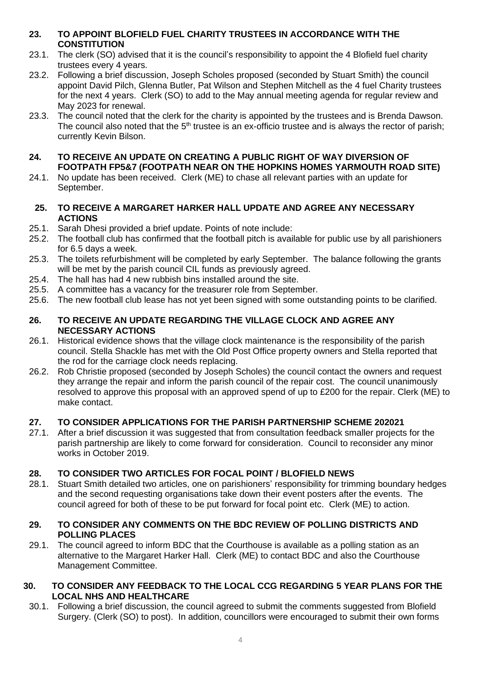# **23. TO APPOINT BLOFIELD FUEL CHARITY TRUSTEES IN ACCORDANCE WITH THE CONSTITUTION**

- 23.1. The clerk (SO) advised that it is the council's responsibility to appoint the 4 Blofield fuel charity trustees every 4 years.
- 23.2. Following a brief discussion, Joseph Scholes proposed (seconded by Stuart Smith) the council appoint David Pilch, Glenna Butler, Pat Wilson and Stephen Mitchell as the 4 fuel Charity trustees for the next 4 years. Clerk (SO) to add to the May annual meeting agenda for regular review and May 2023 for renewal.
- 23.3. The council noted that the clerk for the charity is appointed by the trustees and is Brenda Dawson. The council also noted that the  $5<sup>th</sup>$  trustee is an ex-officio trustee and is always the rector of parish; currently Kevin Bilson.

# **24. TO RECEIVE AN UPDATE ON CREATING A PUBLIC RIGHT OF WAY DIVERSION OF FOOTPATH FP5&7 (FOOTPATH NEAR ON THE HOPKINS HOMES YARMOUTH ROAD SITE)**

24.1. No update has been received. Clerk (ME) to chase all relevant parties with an update for September.

# **25. TO RECEIVE A MARGARET HARKER HALL UPDATE AND AGREE ANY NECESSARY ACTIONS**

- 25.1. Sarah Dhesi provided a brief update. Points of note include:
- 25.2. The football club has confirmed that the football pitch is available for public use by all parishioners for 6.5 days a week.
- 25.3. The toilets refurbishment will be completed by early September. The balance following the grants will be met by the parish council CIL funds as previously agreed.
- 25.4. The hall has had 4 new rubbish bins installed around the site.
- 25.5. A committee has a vacancy for the treasurer role from September.
- 25.6. The new football club lease has not yet been signed with some outstanding points to be clarified.

# **26. TO RECEIVE AN UPDATE REGARDING THE VILLAGE CLOCK AND AGREE ANY NECESSARY ACTIONS**

- 26.1. Historical evidence shows that the village clock maintenance is the responsibility of the parish council. Stella Shackle has met with the Old Post Office property owners and Stella reported that the rod for the carriage clock needs replacing.
- 26.2. Rob Christie proposed (seconded by Joseph Scholes) the council contact the owners and request they arrange the repair and inform the parish council of the repair cost. The council unanimously resolved to approve this proposal with an approved spend of up to £200 for the repair. Clerk (ME) to make contact.

# **27. TO CONSIDER APPLICATIONS FOR THE PARISH PARTNERSHIP SCHEME 202021**

27.1. After a brief discussion it was suggested that from consultation feedback smaller projects for the parish partnership are likely to come forward for consideration. Council to reconsider any minor works in October 2019.

# **28. TO CONSIDER TWO ARTICLES FOR FOCAL POINT / BLOFIELD NEWS**

28.1. Stuart Smith detailed two articles, one on parishioners' responsibility for trimming boundary hedges and the second requesting organisations take down their event posters after the events. The council agreed for both of these to be put forward for focal point etc. Clerk (ME) to action.

# **29. TO CONSIDER ANY COMMENTS ON THE BDC REVIEW OF POLLING DISTRICTS AND POLLING PLACES**

29.1. The council agreed to inform BDC that the Courthouse is available as a polling station as an alternative to the Margaret Harker Hall. Clerk (ME) to contact BDC and also the Courthouse Management Committee.

# **30. TO CONSIDER ANY FEEDBACK TO THE LOCAL CCG REGARDING 5 YEAR PLANS FOR THE LOCAL NHS AND HEALTHCARE**

30.1. Following a brief discussion, the council agreed to submit the comments suggested from Blofield Surgery. (Clerk (SO) to post). In addition, councillors were encouraged to submit their own forms